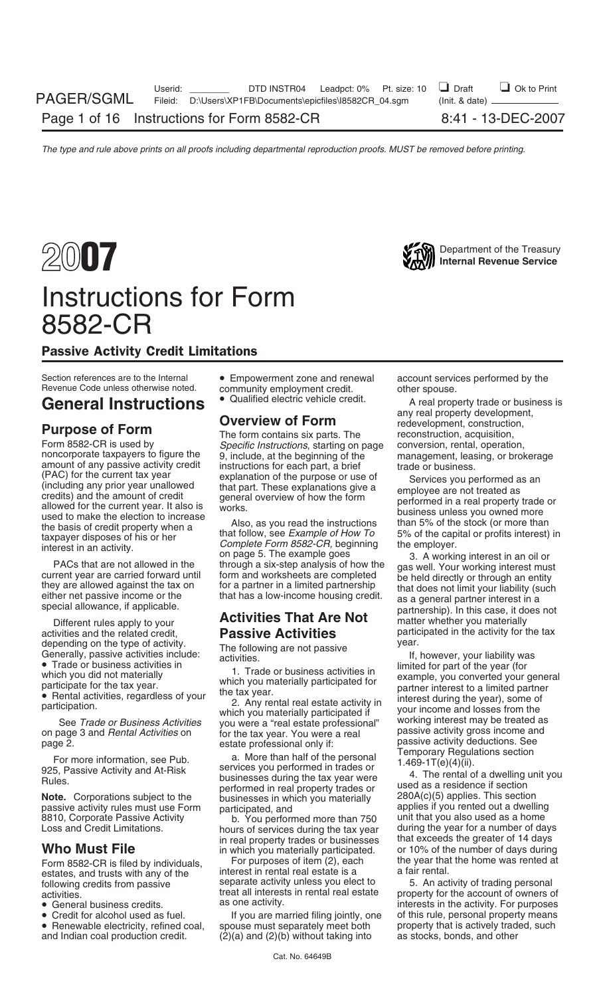## Instructions for Form 8582-CR

## Passive Activity Credit Limitations

Section references are to the Internal • Empowerment zone and renewal account services performed by the Revenue Code unless otherwise noted. community employment credit. other spouse.

Note. Corporations subject to the businesses in which you materially and applies if you rented out a dwelling<br>passive activity rules must use Form participated, and and applies if you rented out a dwelling<br>8810, Corporate

- 
- 
- 
- community employment credit.<br>• Qualified electric vehicle credit.
- 

Form 8582-CR is used by<br>
noncorporate taxpayers to figure the<br>
g, include, at the beginning of the<br>
instructions, starting on page<br>
instructions, starting on page<br>
onversion, rental, operation,<br>
management, leasing, or bro

(PAC) for the current tax year explanation of the purpose or use of (including any prior year unallowed to redits) and the amount of credit the burst and overview of how the form credits) and the amount of credit and perf

See *Trade or Business Activities* which you materially participated if the vour income and losses from the see *Trade or Business Activities* you were a "real estate professional" working interest may be treated as on pag for the tax year. You were a real **Represent Activity gross income an**<br>estate professional only if:<br>grow passive activity deductions. See

Page 2.<br>
For more information, see Pub.<br>
Temporary Regulations See<br>
Temporary Regulations section<br>
925, Passive Activity and At-Risk<br>
Rules.<br>
Note. Corporations subject to the<br>
Note. Corporations subject to the<br>
Dusinesses

hours of services during the tax year during the year for a number of days<br>in real property trades or businesses that exceeds the greater of 14 days in real property trades or businesses that exceeds the greater of 14 days

Form 8582-CR is filed by individuals, For purposes of item (2), each the year that the home was rented at estates, and trusts with any of the interest in rental real estate is a a fair rental.<br>
following credits from passi

• Credit for alcohol used as fuel. If you are married filing jointly, one of this rule, personal property means<br>• Renewable electricity, refined coal, spouse must separately meet both property that is actively traded, such • Renewable electricity, refined coal, spouse must separately meet both property that is actively traded, such and Indian coal production credit. (2)(a) and (2)(b) without taking into as stocks, bonds, and other  $(2)(a)$  and  $(2)(b)$  without taking into

General Instructions  $\bullet$  Qualified electric vehicle credit. A real property trade or business is any real property development, any real property development,<br> **Purpose of Form**<br> **Purpose of Form** The form contains six parts. The reconstruction, acquisition,

ecial allowance, if applicable.<br>Different rules apply to your **Activities That Are Not** matter whether you materially<br>ivities and the related credit, **Passive Activities** participated in the activity for the tax activities and the related credit,<br>
depending on the type of activity.<br>
The following are not passive year.

depending on the type of activity.<br>
Generally, passive activities include:<br>
• Trade or business activities in activities activities in the following are not passive<br>
• Trade or business activities in the year of the year (

8810, Corporate Passive Activity b. You performed more than 750 unit that you also used as a home<br>
Loss and Credit Limitations. hours of services during the tax year during the year for a number of days **Who Must File**<br>
Form 8582-CB is filed by individuals For purposes of item (2), each the year that the home was rented at

activities activity interests in rental real estate property for the account of owners of<br>
• General business credits.<br>
• General business credits.<br>
• General business credits.<br>
• Credit for alcohol used as fuel.<br>
If you a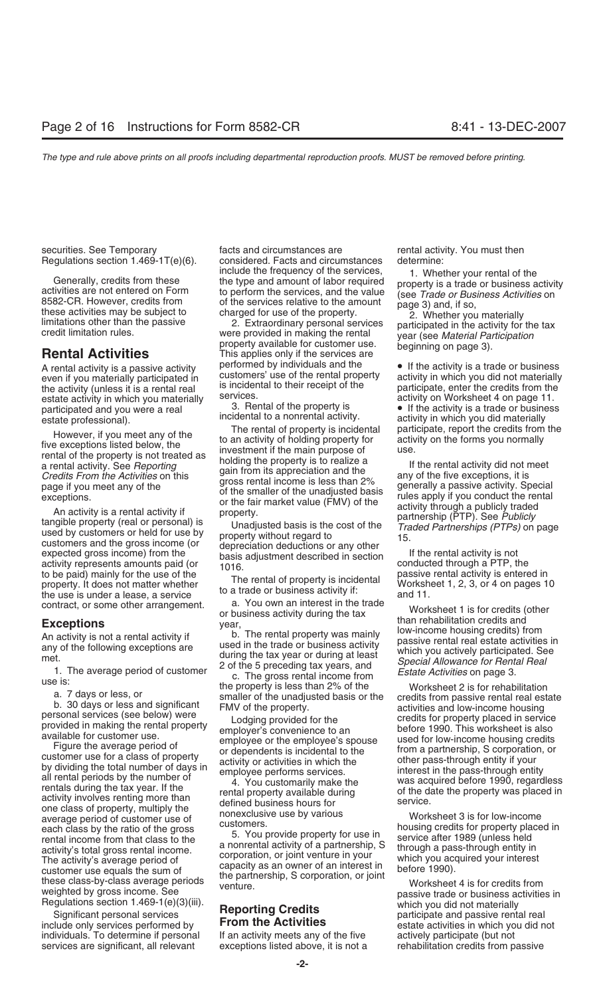Generally, credits from these the type and amount of labor required<br>activities are not entered on Form the type and amount of labor required<br>8582-CR. However, credits from the services, and the value (see *Trade or Busines* 

the activity (unless it is a rental real is incidental to their receipt of the participate, enter the credits from the estate activity in which you materially services. estate activity in which you materially services.<br>acticipated and you were a real services.<br>3. Rental of the property is participated and you were a real 3. Rental of the property is **•** If the activity is a trade or business<br>
ostate professional) incidental to a nonrental activity.

to be paid) mainly for the use of the The rental of property is incidental property. It does not matter whether The rental of property is incidental Worksheet 1, 2, 3, or 4 on pages 10 to a trade or business activity if: a

one class of property, multiply the monexclusive use by various<br>average period of customer use of nonexclusive use by various worksheet 3 is for low-income<br>bousing credits for property place each class by the ratio of the gross<br>
rental income from that class to the the service after 1989 (unless held<br>
a nonrental activity of a partnership, S<br>
a nonrental activity of a partnership, S<br>
through a pass-through ent a nonrental activity of a partnership, S<br>activity's total gross rental income. a nonrental activity of a partnership, S<br>The activity's average period of corporation, or joint venture in your which you acquired your interes activity's total gloss fermal income.<br>
The activity's average period of<br>
customer use equals the sum of<br>
the partnership, S corporation, or joint<br>
these class-by-class average periods<br>
wenture.<br>
Worksheet 4 is for credits

Significant personal services **increments of centrem** participate and passive rental real<br>include only services performed by **From the Activities** estate activities in which you did not individuals. To determine if personal If an activity meets any of the five actively participate (but not services are significant, all relevant exceptions listed above, it is not a rehabilitation credits from passive

securities. See Temporary **Facts** and circumstances are **rental activity. You must then** Regulations section 1.469-1T(e)(6). considered. Facts and circumstances determine:

A rental activity is a passive activity performed by individuals and the • If the activity is a trade or business even if you materially participated in customers' use of the rental property activity in which you did not m even if you materially participated in customers' use of the rental property activity in which you did not materially<br>the activity (unless it is a rental real is incidental to their receipt of the participate, enter the cr

However, if you meet any of the the town and critique to an activity of holding property is incidental participate, report the credits from the property is not term and of the property is not the form sou normally a a rent

contract, or some other arrangement. a. You own an interest in the trade<br>or business activity during the tax<br>**Exceptions** year, when rehabilitation credits and year,

estate professional). incidental to a nonrental activity. activity in which you did materially<br>The rental of property is incidental participate, report the credits from the

The rental activity is not a rental activity if the transmision of the following exceptions are used in the transmission of the following exceptions are used in the transmission of the following exceptions are during the t

weighted by gross income. See *venture*.<br>
Reporting Credits and the passive trade or business activities in<br>
Significant personal services **Reporting Credits** by the participate and passive rental real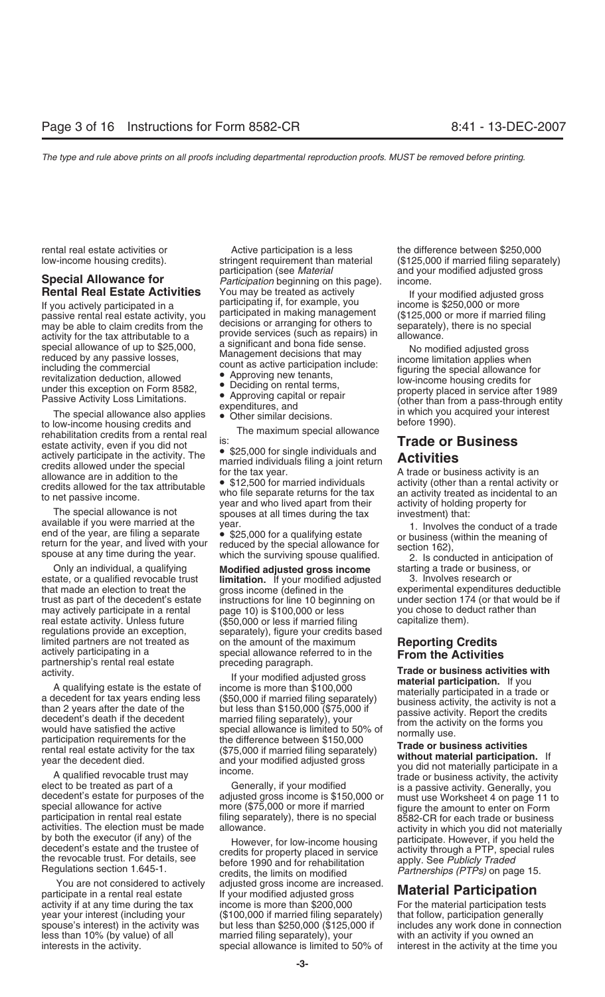estate activity, even if you did not<br>actively participate in the activity. The<br>actively participate in the activity. The<br>actively participate in the activity. The<br>activity of the tax year. A trade or business activity is a

real estate activity. Unless future regulations provide an exception. limited partners are not treated as a both the amount of the maximum<br>actively participating in a special allowance referred to in the **From the Activities**<br>partnership's rental real estate preceding paragraph.<br>activity. Tr

participate in a rental real estate If your modified adjusted gross **Material Participation** activity if at any time during the tax income is more than \$200,000 For the material participation tests year your interest (including your (\$100,000 if married filing separately) that follow, participation generally spouse's interest) in the activity was but less than \$250,000 (\$125,000 if includes any work done in connection less than 10% (by value) of all married filing separately), your with an activity if you owned an interests in the activity. special allowance is limited to 50% of interest in the activity at the time you

rental real estate activities or example active participation is a less the difference between \$250,000 participation (see *Material* and your modified adjusted gross **Special Allowance for** *Participation* beginning on this page). income. **Rental Real Estate Activities** You may be treated as actively and if your modified adjusted gross<br>
If you actively participated in a participated in making management passive rental real estate activity, you<br>
may be able

- 
- 
- 
- 

Only an individual, a qualifying **Modified adjusted gross income** starting a trade or business, or estate, or a qualified revocable trust **limitation.** If your modified adjusted that made an election to treat the gross income (defined in the instructions for line 10 beginning on under section 174 (or that would page 10) is \$100,000 or less you chose to deduct rather than may actively participate in a rental page 10) is \$100,000 or less you chose to deduct real estate activity. Unless future (\$50,000 or less if married filing capitalize them). regulations provide an exception, separately), figure your credits based limited partners are not treated as  $\qquad \qquad$  on the amount of the maximum

activity.<br>
A qualifying estate is the estate of income is more than \$100,000<br>
a decedent for tax years ending separately to the married fliing separately<br>
and actiochy in a set of the the detect of the than 2 years after t

You are not considered to actively adjusted gross income are increased.

low-income housing credits). stringent requirement than material (\$125,000 if married filing separately)

special allowance of up to \$25,000,<br>
including the commercial<br>
including the commercial<br>
including the commercial<br>
including the commercial<br>
including the commercial<br>
including the commercial<br>
count as active participation

that made an election to treat the gross income (defined in the experimental expenditures deductible trust as part of the decedent's estate instructions for line 10 beginning on under section 174 (or that would be if

activities. The election must be made<br>by both the executor (if any) of the<br>decedent's estate and the trustee of<br>the revocable trust. For details, see<br>Regulations section 1.645-1.<br>Regulations section 1.645-1.<br>Regulations se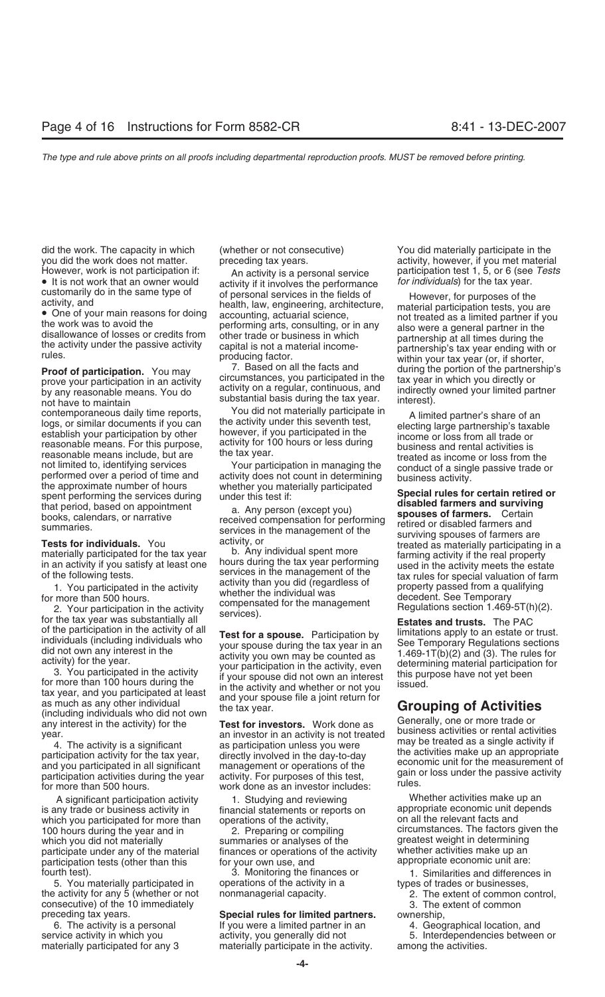did the work. The capacity in which (whether or not consecutive) You did materially participate in the

by any reasonable means. You do a regular, continuous, and indirectly by any reasonable means. You do substantial basis during the tax year. interest).<br>
contemporaneous daily time reports You did not materially participate

establish your participation by other nowever, if you participated in the<br>reasonable means. For this purpose, activity for 100 hours or less during<br>reasonable means include, but are the tax year.<br>not limited to, identifyin

is any trade or business activity in financial statements or reports on appropriate economic unit d<br>which you participated for more than conerations of the activity. The network on all the relevant facts and which you participated for more than operations of the activity, which you did not materially summaries or analyses of the greatest weight in determining<br>participate under any of the material finances or operations of the activity whether activities make up an participate under any of the material finances or operations of the activity whether activities make up an<br>contricipation tests (other than this for your own use, and same appropriate economic unit are: participation tests (other than this appropriate equal own use, and fourth test). 3. Monitoring the finances or 1. Similarities and differences in

5. You materially participated in operations of the activity in a types of trades or businesses, the activity for any 5 (whether or not nonmanagerial capacity. 2. The extent of common control, consecutive) of the 10 immediately 3. The extent of common

• It is not work that an owner would activity if it involves the performance customarily do in the same type of or personal services in the fields of customarily do in the same type of of personal services in the fields of activity, and bealth, law, engineering, architecture, the material participation tests, you are health, law, engineering, architecture, the work was

prove your participation in an activity circumstances, you participated in the tax year in which you directly or<br>by any reasonable means You do activity on a regular, continuous, and indirectly owned your limited partner

contemporaneous daily time reports,<br>
logs, or similar documents if you can<br>
establish your participation by other<br>
establish your participation by other<br>
establish your participation by other<br>
establish your participation

of the participation in the activity of all<br>
individuals who<br>
individuals apply to an estate or trust.<br>
idio not own any interest in the<br>
idio not own any interest in the<br>
activity) for the year.<br>
activity you wou may be c

### preceding tax years. **Special rules for limited partners.** ownership,

6. The activity is a personal If you were a limited partner in an 4. Geographical location, and materially participated for any 3 materially participate in the activity. among the activities.

you did the work does not matter. expreceding tax years. The material provide the work does not material However, work is not participation if: extitation the activity is a personal service participation test 1, 5, or 6 (see Tests<br>• It is not work that an owner would activity if it involves the performance for *individuals*)

rules. producing factor. within your tax year (or, if shorter,<br>**Proof of participation.** You may **7.** Based on all the facts and during the portion of the partnership's prove your participation in an activity circumstances

not limited to, identifying services<br>
the approximate number of the and<br>
the approximate number of hours<br>
the approximate number of hours<br>
the approximate number of hours<br>
the approximate number of hours<br>
the approximate n

A significant participation activity and the Studying and reviewing the sum whether activities make up an and the than the financial statements or reports on the appropriate economic unit depends 100 hours during the year and in 2. Preparing or compiling circumstances. The factors given the

service activity in which you activity, you generally did not 5. Interdependencies between or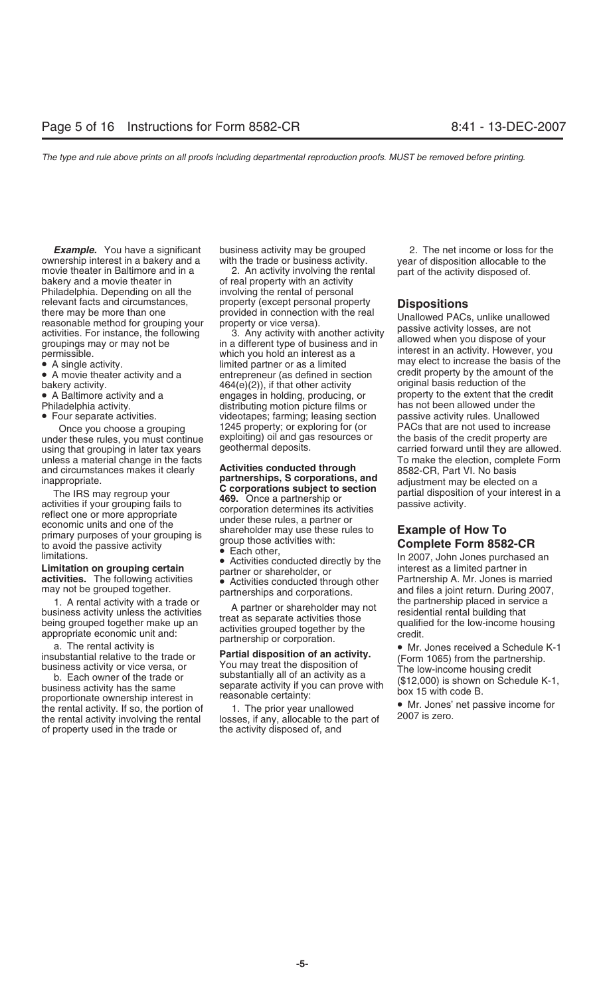ownership interest in a bakery and a with the trade or business activity. year of disposition allocable to the<br>movie theater in Baltimore and in a 2. An activity involving the rental part of the activity disposed of. movie theater in Baltimore and in a 2. An activity involving the rental part of the activity disposed of.<br>bakery and a movie theater in of real property with an activity Philadelphia. Depending on all the involving the rental of personal relevant facts and circumstances, and property (except personal property<br>
there may be more than one provided in connection with the real<br>
reasonable method for grouping your<br>
activities. For instance, the following 3. An

bakery activity.  $464(e)(2)$ , if that other activity

- 
- 
- 

under these rules, you must continue exploiting) oil and gase using the credit property using the credit proper and circumstances makes it clearly **Activities conducted through** 8582-CR, Part VI. No basis<br>**partnerships, S corporations, and** adjustment may be elected

inappropriate. **Example of How To**<br>
The IRS may regroup your<br>
activities if your grouping fails to<br>
reflect one or more appropriate<br>
economic units and one of the<br>
primary purposes of your grouping is<br>
activities with:<br>
ac

of property used in the trade or the activity disposed of, and

• A single activity.<br>• A movie theater activity and a entrepreneur (as defined in section credit property by the amount of the and the default of the default of the default original basis reduction of the default of the de • A Baltimore activity and a engages in holding, producing, or extent that the credit Philadelphia activity and a extent that the credit producing, or the extent that the credit production of the extent the credit producti Philadelphia activity. distributing motion picture films or has not been allowed under the beam allowed under the theorem of  $P$ • Four separate activities. videotapes; farming; leasing section passive activity rules. Unallowed Once you choose a grouping 1245 property; or exploring for (or explosition PACs that are not used to increase<br>
er these rules, you must continue exploiting) oil and gas resources or the basis of the credit property are

**Example.** You have a significant business activity may be grouped 2. The net income or loss for the nership interest in a bakery and a with the trade or business activity. The near of disposition allocable to the

using that grouping in later tax years geothermal deposits. The carried forward until they are allowed. unless a material change in the facts<br>and circumstances makes it clearly **Activities conducted through**  $\frac{1}{8582-CP}$  Part VL No basis

Fractivity<br>
to avoid the passive activity<br>
limitations.<br> **Limitation on grouping certain**<br> **Complete Form 8582-CR**<br>
Imitations.<br> **Limitation on grouping certain**<br> **Complete Form 8582-CR**<br>
In 2007, John Jones purchased an<br>

1. A rental activity with a trade or<br>
business activity unless the activities<br>
being grouped together make up an<br>
appropriate conomic unit and:<br>
a The rental activity is<br>
a The rental activity is<br>
a The rental activity is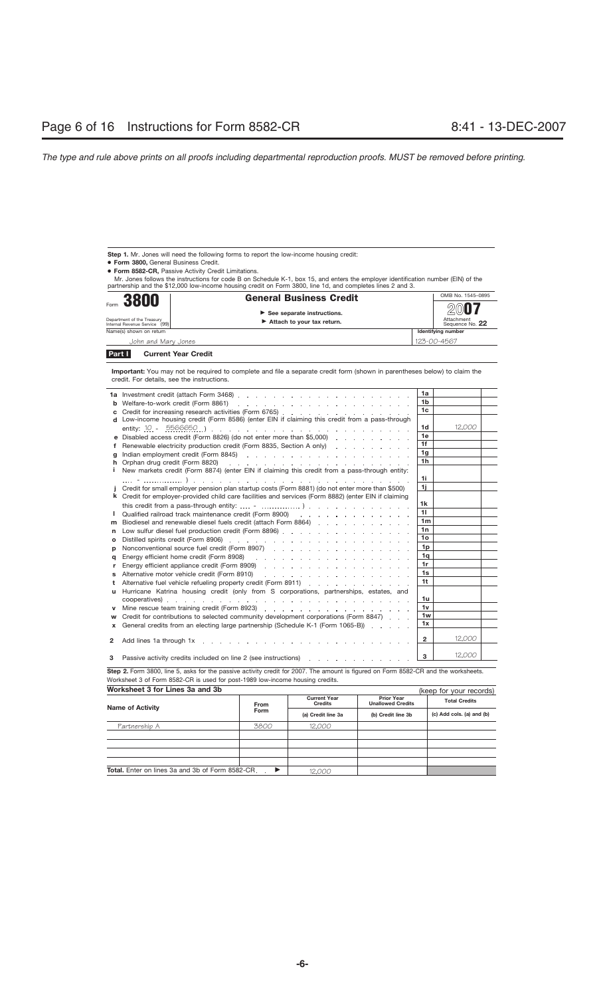Step 1. Mr. Jones will need the following forms to report the low-income housing credit:

● **Form 3800,** General Business Credit.

● **Form 8582-CR,** Passive Activity Credit Limitations.

Mr. Jones follows the instructions for code B on Schedule K-1, box 15, and enters the employer identification number (EIN) of the partnership and the \$12,000 low-income housing credit on Form 3800, line 1d, and completes lines 2 and 3.

| Form 3800                                                   | <b>General Business Credit</b>                                            | OMB No. 1545-0895                     |
|-------------------------------------------------------------|---------------------------------------------------------------------------|---------------------------------------|
| Department of the Treasury<br>Internal Revenue Service (99) | $\triangleright$ See separate instructions.<br>Attach to your tax return. | 2007<br>Attachment<br>Sequence No. 22 |
| Name(s) shown on return                                     |                                                                           | Identifying number                    |
| John and Mary Jones                                         |                                                                           | 123-00-4567                           |
|                                                             |                                                                           |                                       |

**Current Year Credit Part I**

**Important:** You may not be required to complete and file a separate credit form (shown in parentheses below) to claim the credit. For details, see the instructions.

|          | <b>1a</b> Investment credit (attach Form 3468) $\ldots$ $\ldots$ $\ldots$ $\ldots$ $\ldots$ $\ldots$ $\ldots$ $\ldots$                                                                                                        | 1a              |        |  |
|----------|-------------------------------------------------------------------------------------------------------------------------------------------------------------------------------------------------------------------------------|-----------------|--------|--|
| b        |                                                                                                                                                                                                                               | 1 <sub>b</sub>  |        |  |
| с        | Credit for increasing research activities (Form 6765)                                                                                                                                                                         | 1 <sub>c</sub>  |        |  |
|          | d Low-income housing credit (Form 8586) (enter EIN if claiming this credit from a pass-through                                                                                                                                |                 |        |  |
|          |                                                                                                                                                                                                                               | 1d              | 12,000 |  |
|          | <b>e</b> Disabled access credit (Form 8826) (do not enter more than \$5,000) $\ldots$ , $\ldots$                                                                                                                              | 1e              |        |  |
| f        | Renewable electricity production credit (Form 8835, Section A only)                                                                                                                                                           | 1f              |        |  |
| a        | Indian employment credit (Form 8845) $\ldots$ $\ldots$ $\ldots$ $\ldots$ $\ldots$ $\ldots$ $\ldots$ $\ldots$                                                                                                                  | 1 <sub>g</sub>  |        |  |
| h        | Orphan drug credit (Form 8820)                                                                                                                                                                                                | 1 <sub>h</sub>  |        |  |
| i.       | New markets credit (Form 8874) (enter EIN if claiming this credit from a pass-through entity:                                                                                                                                 |                 |        |  |
|          | design a construction of the construction of the construction of the construction of the construction of the construction of the construction of the construction of the construction of the construction of the construction | 1i              |        |  |
|          | Credit for small employer pension plan startup costs (Form 8881) (do not enter more than \$500)                                                                                                                               | 1i              |        |  |
|          | k Credit for employer-provided child care facilities and services (Form 8882) (enter EIN if claiming                                                                                                                          |                 |        |  |
|          | this credit from a pass-through entity: $\ldots$ $\ldots$ $\ldots$ $\ldots$ $\ldots$ $\ldots$ $\ldots$ $\ldots$ $\ldots$ $\ldots$                                                                                             | 1k              |        |  |
| I.       | Qualified railroad track maintenance credit (Form 8900) (ed. by a contract of the contract of the contract of the contract of the contract of the contract of the contract of the contract of the contract of the contract of | 11              |        |  |
| m        | Biodiesel and renewable diesel fuels credit (attach Form 8864)                                                                                                                                                                | 1 <sub>m</sub>  |        |  |
| n        | Low sulfur diesel fuel production credit (Form 8896)                                                                                                                                                                          | 1n              |        |  |
| $\Omega$ |                                                                                                                                                                                                                               | 10 <sub>o</sub> |        |  |
| D        |                                                                                                                                                                                                                               | 1 <sub>p</sub>  |        |  |
| a        |                                                                                                                                                                                                                               | 1q              |        |  |
| r        |                                                                                                                                                                                                                               | 1r              |        |  |
| s        | Alternative motor vehicle credit (Form 8910)<br>design as a straightforward and contract as a straight                                                                                                                        | 1s              |        |  |
| t        | Alternative fuel vehicle refueling property credit (Form 8911)                                                                                                                                                                | 1 <sup>t</sup>  |        |  |
| u        | Hurricane Katrina housing credit (only from S corporations, partnerships, estates, and                                                                                                                                        |                 |        |  |
|          |                                                                                                                                                                                                                               | 1u              |        |  |
|          |                                                                                                                                                                                                                               | 1v              |        |  |
| w        | Credit for contributions to selected community development corporations (Form 8847).                                                                                                                                          | 1w              |        |  |
| x        | General credits from an electing large partnership (Schedule K-1 (Form 1065-B))                                                                                                                                               | 1x              |        |  |
|          |                                                                                                                                                                                                                               |                 |        |  |
| 2        |                                                                                                                                                                                                                               | $\overline{2}$  | 12,000 |  |
|          |                                                                                                                                                                                                                               | 3               | 12.000 |  |
| з        | Passive activity credits included on line 2 (see instructions) respectively and set of the set of the Passive activity credits included on line 2 (see instructions)                                                          |                 |        |  |
|          |                                                                                                                                                                                                                               |                 |        |  |

Step 2. Form 3800, line 5, asks for the passive activity credit for 2007. The amount is figured on Form 8582-CR and the worksheets. Worksheet 3 of Form 8582-CR is used for post-1989 low-income housing credits.

**Worksheet 3 for Lines 3a and 3b**

| Worksheet 3 for Lines 3a and 3b                  |                       | (keep for your records)               |                                               |                           |  |
|--------------------------------------------------|-----------------------|---------------------------------------|-----------------------------------------------|---------------------------|--|
| <b>Name of Activity</b>                          | From                  | <b>Current Year</b><br><b>Credits</b> | <b>Prior Year</b><br><b>Unallowed Credits</b> | <b>Total Credits</b>      |  |
|                                                  | Form                  | (a) Credit line 3a                    | (b) Credit line 3b                            | (c) Add cols. (a) and (b) |  |
| Partnership A                                    | 3800                  | 12,000                                |                                               |                           |  |
|                                                  |                       |                                       |                                               |                           |  |
|                                                  |                       |                                       |                                               |                           |  |
|                                                  |                       |                                       |                                               |                           |  |
|                                                  |                       |                                       |                                               |                           |  |
| Total. Enter on lines 3a and 3b of Form 8582-CR. | $\blacktriangleright$ | 12.000                                |                                               |                           |  |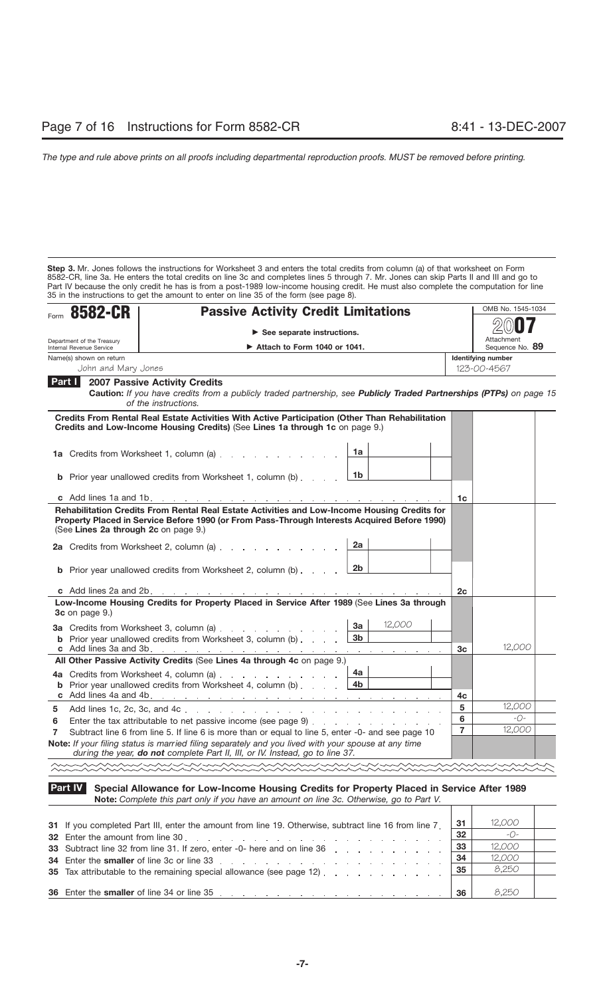**Step 3.** Mr. Jones follows the instructions for Worksheet 3 and enters the total credits from column (a) of that worksheet on Form 8582-CR, line 3a. He enters the total credits on line 3c and completes lines 5 through 7. Mr. Jones can skip Parts II and III and go to Part IV because the only credit he has is from a post-1989 low-income housing credit. He must also complete the computation for line 35 in the instructions to get the amount to enter on line 35 of the form (see page 8).

| Form 8582-CR                                        | <b>Passive Activity Credit Limitations</b>                                                                                                                                                                                                    |                | OMB No. 1545-1034             |
|-----------------------------------------------------|-----------------------------------------------------------------------------------------------------------------------------------------------------------------------------------------------------------------------------------------------|----------------|-------------------------------|
|                                                     | $\triangleright$ See separate instructions.                                                                                                                                                                                                   |                |                               |
| Department of the Treasury                          | $\triangleright$ Attach to Form 1040 or 1041.                                                                                                                                                                                                 |                | Attachment<br>Sequence No. 89 |
| Internal Revenue Service<br>Name(s) shown on return |                                                                                                                                                                                                                                               |                | <b>Identifying number</b>     |
| John and Mary Jones                                 |                                                                                                                                                                                                                                               |                | 123-00-4567                   |
| Part I                                              | <b>2007 Passive Activity Credits</b><br>Caution: If you have credits from a publicly traded partnership, see Publicly Traded Partnerships (PTPs) on page 15<br>of the instructions.                                                           |                |                               |
|                                                     | Credits From Rental Real Estate Activities With Active Participation (Other Than Rehabilitation<br>Credits and Low-Income Housing Credits) (See Lines 1a through 1c on page 9.)                                                               |                |                               |
|                                                     | 1a<br>1a Credits from Worksheet 1, column (a)                                                                                                                                                                                                 |                |                               |
|                                                     | 1b<br><b>b</b> Prior year unallowed credits from Worksheet 1, column (b)                                                                                                                                                                      |                |                               |
|                                                     |                                                                                                                                                                                                                                               | 1c             |                               |
|                                                     | 2a<br>$\lfloor 2b \rfloor$<br><b>b</b> Prior year unallowed credits from Worksheet 2, column (b)                                                                                                                                              |                |                               |
|                                                     |                                                                                                                                                                                                                                               | 2c             |                               |
| 3c on page 9.)                                      | Low-Income Housing Credits for Property Placed in Service After 1989 (See Lines 3a through<br>12,000<br>3a<br>3a Credits from Worksheet 3, column (a)<br>3 <sub>b</sub><br><b>b</b> Prior year unallowed credits from Worksheet 3, column (b) |                |                               |
|                                                     |                                                                                                                                                                                                                                               | 3c             | 12,000                        |
|                                                     | All Other Passive Activity Credits (See Lines 4a through 4c on page 9.)                                                                                                                                                                       |                |                               |
|                                                     | 4а<br>4a Credits from Worksheet 4, column (a) [11] Credits from Worksheet 4, column (a)<br><b>b</b> Prior year unallowed credits from Worksheet 4, column (b) $\ldots$ $\qquad$ $\boxed{4b}$                                                  | 4c             |                               |
| 5                                                   |                                                                                                                                                                                                                                               | 5              | 12,000                        |
| 6                                                   | Enter the tax attributable to net passive income (see page 9)                                                                                                                                                                                 | 6              | $-$ O-                        |
| $\overline{7}$                                      | Subtract line 6 from line 5. If line 6 is more than or equal to line 5, enter -0- and see page 10                                                                                                                                             | $\overline{7}$ | 12,000                        |
|                                                     | Note: If your filing status is married filing separately and you lived with your spouse at any time<br>during the year, do not complete Part II, III, or IV. Instead, go to line 37.                                                          |                |                               |
|                                                     |                                                                                                                                                                                                                                               |                |                               |

### **Part IV Special Allowance for Low-Income Housing Credits for Property Placed in Service After 1989 Note:** *Complete this part only if you have an amount on line 3c. Otherwise, go to Part V.* ┱

| 31 If you completed Part III, enter the amount from line 19. Otherwise, subtract line 16 from line 7.                                                                                                                          | 31 | 12,000 |  |
|--------------------------------------------------------------------------------------------------------------------------------------------------------------------------------------------------------------------------------|----|--------|--|
| 32 Enter the amount from line 30, entering years and a series of the series of the series of the series of the series of the series of the series of the series of the series of the series of the series of the series of the | 32 | $-C$ - |  |
| 33 Subtract line 32 from line 31. If zero, enter -0- here and on line 36                                                                                                                                                       | 33 | 12,000 |  |
| 34 Enter the smaller of line 3c or line 33                                                                                                                                                                                     | 34 | 12,000 |  |
| 35 Tax attributable to the remaining special allowance (see page 12)                                                                                                                                                           | 35 | 8,250  |  |
|                                                                                                                                                                                                                                |    |        |  |
|                                                                                                                                                                                                                                | 36 | 8.250  |  |

Т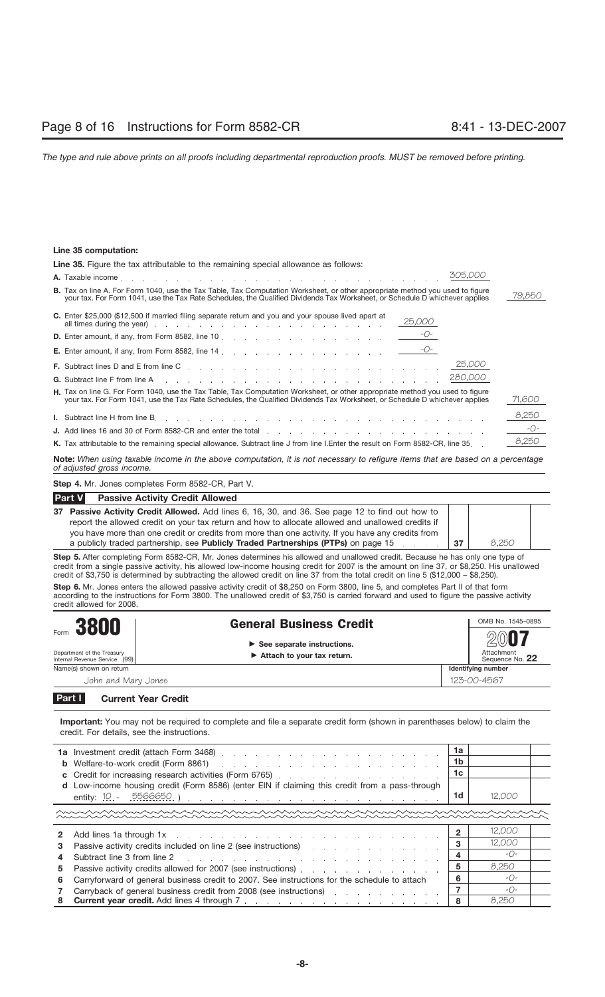### **Line 35 computation:**

| Line 35. Figure the tax attributable to the remaining special allowance as follows:                                                                                                                                                                                 |        |  |  |  |  |
|---------------------------------------------------------------------------------------------------------------------------------------------------------------------------------------------------------------------------------------------------------------------|--------|--|--|--|--|
| 305,000                                                                                                                                                                                                                                                             |        |  |  |  |  |
| <b>B.</b> Tax on line A. For Form 1040, use the Tax Table, Tax Computation Worksheet, or other appropriate method you used to figure<br>your tax. For Form 1041, use the Tax Rate Schedules, the Qualified Dividends Tax Worksheet, or Schedule D whichever applies | 79,850 |  |  |  |  |
| C. Enter \$25,000 (\$12,500 if married filing separate return and you and your spouse lived apart at<br>25,000                                                                                                                                                      |        |  |  |  |  |
|                                                                                                                                                                                                                                                                     |        |  |  |  |  |
|                                                                                                                                                                                                                                                                     |        |  |  |  |  |
| 25,000                                                                                                                                                                                                                                                              |        |  |  |  |  |
|                                                                                                                                                                                                                                                                     |        |  |  |  |  |
| H. Tax on line G. For Form 1040, use the Tax Table, Tax Computation Worksheet, or other appropriate method you used to figure<br>your tax. For Form 1041, use the Tax Rate Schedules, the Qualified Dividends Tax Worksheet, or Schedule D whichever applies        | 71,600 |  |  |  |  |
|                                                                                                                                                                                                                                                                     | 8,250  |  |  |  |  |
| <b>J.</b> Add lines 16 and 30 of Form 8582-CR and enter the total enter the total and the content of the content of the content of the content of the content of the content of the content of the content of the content of the co                                 | $-$ O- |  |  |  |  |
| K. Tax attributable to the remaining special allowance. Subtract line J from line I.Enter the result on Form 8582-CR, line 35                                                                                                                                       | 8,250  |  |  |  |  |

**Note:** *When using taxable income in the above computation, it is not necessary to refigure items that are based on a percentage of adjusted gross income.*

**Step 4.** Mr. Jones completes Form 8582-CR, Part V.

| <b>Part V</b><br><b>Passive Activity Credit Allowed</b>                                            |    |       |  |
|----------------------------------------------------------------------------------------------------|----|-------|--|
| 37 Passive Activity Credit Allowed. Add lines 6, 16, 30, and 36. See page 12 to find out how to    |    |       |  |
| report the allowed credit on your tax return and how to allocate allowed and unallowed credits if  |    |       |  |
| you have more than one credit or credits from more than one activity. If you have any credits from |    |       |  |
| a publicly traded partnership, see Publicly Traded Partnerships (PTPs) on page 15                  | 37 | 8.250 |  |

**Step 5.** After completing Form 8582-CR, Mr. Jones determines his allowed and unallowed credit. Because he has only one type of credit from a single passive activity, his allowed low-income housing credit for 2007 is the amount on line 37, or \$8,250. His unallowed credit of \$3,750 is determined by subtracting the allowed credit on line 37 from the total credit on line 5 (\$12,000 – \$8,250).

**Step 6.** Mr. Jones enters the allowed passive activity credit of \$8,250 on Form 3800, line 5, and completes Part II of that form according to the instructions for Form 3800. The unallowed credit of \$3,750 is carried forward and used to figure the passive activity credit allowed for 2008.

| Form 3800                                                   | <b>General Business Credit</b><br>$\triangleright$ See separate instructions.<br>$\blacktriangleright$ Attach to your tax return. |  | OMB No. 1545-0895                     |  |
|-------------------------------------------------------------|-----------------------------------------------------------------------------------------------------------------------------------|--|---------------------------------------|--|
| Department of the Treasury<br>Internal Revenue Service (99) |                                                                                                                                   |  | 2007<br>Attachment<br>Sequence No. 22 |  |
| Name(s) shown on return                                     |                                                                                                                                   |  | Identifying number                    |  |
| John and Mary Jones                                         |                                                                                                                                   |  | 123-00-4567                           |  |
|                                                             |                                                                                                                                   |  |                                       |  |

**Current Year Credit Part I**

**Important:** You may not be required to complete and file a separate credit form (shown in parentheses below) to claim the credit. For details, see the instructions.

|    |                                                                                                                                                                                                                                | 1a<br>1b |              |  |
|----|--------------------------------------------------------------------------------------------------------------------------------------------------------------------------------------------------------------------------------|----------|--------------|--|
|    |                                                                                                                                                                                                                                | 1c       |              |  |
|    | d Low-income housing credit (Form 8586) (enter EIN if claiming this credit from a pass-through                                                                                                                                 | 1d       | 12,000       |  |
|    |                                                                                                                                                                                                                                |          |              |  |
|    |                                                                                                                                                                                                                                |          | 12,000       |  |
| 3  | Passive activity credits included on line 2 (see instructions) refluence and containing activity or entirely                                                                                                                   | з        | 12,000       |  |
| 4  | Subtract line 3 from line 2 (edge), and a contract the contract the state of the state of the state of the state of the state of the state of the state of the state of the state of the state of the state of the state of th | 4        | $ O-$        |  |
| 5. |                                                                                                                                                                                                                                | 5        | 8.250        |  |
| 6  | Carryforward of general business credit to 2007. See instructions for the schedule to attach                                                                                                                                   |          | $-0-$        |  |
|    | Carryback of general business credit from 2008 (see instructions)                                                                                                                                                              |          | $ \bigcap$ – |  |
| 8  |                                                                                                                                                                                                                                |          | 8.250        |  |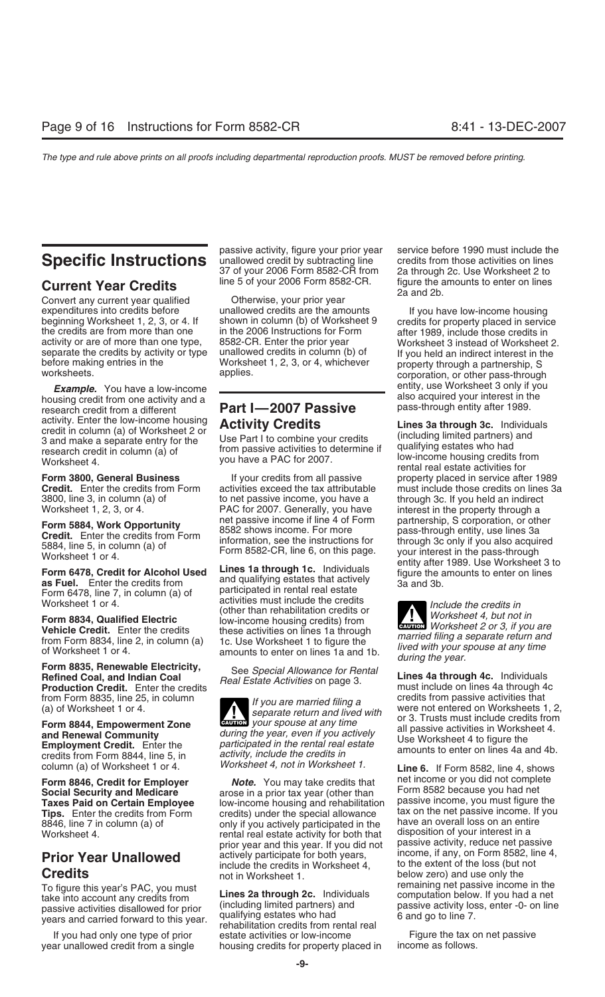Convert any current year qualified Convert is pour prior year<br>
Supervisions of the amounts<br>
Convert in a unallowed credits are the amounts expenditures into credits before unallowed credits are the amounts and if you have low-income housing<br>beginning Worksheet 1, 2, 3, or 4. If shown in column (b) of Worksheet 9 credits for property placed in servic the credits are from more than one in the 2006 Instructions for Form after 1989, include those credits in<br>activity or are of more than one type, 8582-CR. Enter the prior year Worksheet 3 instead of Worksheet 2. activity or are of more than one type, 8582-CR. Enter the prior year separate the credits by activity or type unallowed credits in column (b) of separate the credits by activity or type unallowed credits in column (b) of lf you held an indirect interest in the<br>before making entries in the Worksheet 1, 2, 3, or 4, whichever property through a partnership, S<br>workshee

**Example.** You have a low-income<br>housing credit from one activity and a<br>research credit from a different **Part I—2007 Passive** also acquired your interest in the<br>research credit from a different **Part I—2007 Passive** passactivity. Enter the low-income housing **Activity Credits**<br>3 and make a separate entry for the Use Part I to combine your credits<br>1 and make a separate entry for the Use Part I to combine your credits (including limited par

**Credit.** Enter the credits from Form activities exceed the tax attributable 3800, line 3, in column (a) of the must passive income, you have a

Form 8835, Renewable Electricity, See Special Allowance for Rental Unes 4a through 4c. Individuals<br>Refined Coal, and Indian Coal Real Estate Activities on page 3. Thes 4a through 4c. Individuals<br>Production Credit. Enter th

credits from Form 8844, line 5, in activity, include the credits in allocates to chicle of lines 4d and 4b.<br>column (a) of Worksheet 1 or 4. *Worksheet 4, not in Worksheet 1.* **Line 6.** If Form 8582, line 4, shows

To figure this year's PAC, you must<br>take into account any credits from<br>passive activities disallowed for prior (including limited partners) and<br>years and carried forward to this year. qualifying estates who had<br>rehabilitat

passive activity, figure your prior year service before 1990 must include the **Specific Instructions**<br>37 of your 2006 Form 8582-CR from 2a through 2c. Use Worksheet 2 to 37 of your 2006 Form 8582-CR from 2a through 2c. Use Worksheet 2 to<br>line 5 of your 2006 Form 8582-CR. figure the amounts to enter on lines

3800, line 3, in column (a) of to net passive income, you have a through 3c. If you held an indirect Worksheet 1, 2, 3, or 4. PAC for 2007. Generally, you have interest in the property through a<br>net passive income if line 4 of Form partnership. S corporation, or oth Form 5884, Work Opportunity<br>
The Bossive income if line 4 of Form partnership, S corporation, or other<br>
Credit. Enter the credits from Form assessions information, see the instructions for the system of through 3c only if

Form 6478, Credit for Alcohol Used<br> **Example 18 Set Alcohol Used**<br>
as Fuel. Enter the credits from and qualifying estates that actively<br>
Form 6478, line 7, in column (a) of participated in rental real estate<br>
Form 6478, li Vorksheet 1 or 4.<br>
Worksheet 1 or 4. (other than rehabilitation credits or<br> **Form 8834, Qualified Electric** low-income housing credits) from Worksheet 4, but not in

**ENTION** your spouse at any time **Example 19 Form Solution Solution** all passive activities in Worksheet 4.<br> **Employment Credit.** Enter the *participated in the rental real estate* Use Worksheet 4 to figure the *participated in the rental real estate* Use

**Social Security and Medicare** Farose in a prior tax year (other than Form 8582 because you had net are arose in a<br>Taxes Paid on Certain Employee Form low-income housing and rehabilitation Passive income, you must figure t **Taxes Paid on Certain Employee** bow-income housing and rehabilitation **Tips.** Enter the credits from Form credits) under the special allowance tax on the net passive income. If you credits and the special allowance tax on the net passive income. If you credits on an entire in the special all 8846, line 7 in column (a) of only if you actively participated in the have an overall loss on an entire<br>Worksheet 4, wherest in a rental real estate activity for both that alsposition of your interest in a<br>prior year and this year if you did not also passive activity, reduce net passive prior year and this year. If you did not passive activity, reduce net passive<br>actively participate for both years. The prome, if any, on Form 8582, line 4, **Prior Year Unallowed** actively participate for both years, income, if any, on Form 8582, line 4,<br>
come, if any, on Form 8582, line 4,<br>
come of the loss (but not in Worksheet 1.<br>
come of the extent of the loss (but not bel

If you had only one type of prior estate activities or low-income entity on the tax on net passive<br>In unallowed credit from a single bousing credits for property placed in strippener as follows. year unallowed credit from a single housing credits for property placed in

**Current Year Credits** line 5 of your 2006 Form 8582-CR. figure the amounts to enter on lines Convert any current year qualified **Current Convert any current year** and 2b.

shown in column (b) of Worksheet 9 credits for property placed in service<br>in the 2006 Instructions for Form after 1989, include those credits in

**Form 3800, General Business** If your credits from all passive property placed in service after 1989<br>**Credit.** Enter the credits from Form activities exceed the tax attributable must include those credits on lines 3a 5884, line 5, in column (a) of Form 8582-CR, line 6, on this page.<br>Worksheet 1 or 4.<br>Form 8582-CR, line 6, on this page. your interest in the pass-through<br>entity after 1989. Use Worksheet 3 to

**ENTION** Worksheet 2 or 3, if you are **Vehicle Credit.** Enter the credits these activities on lines 1a through from Form 8834, line 2, in column (a) 1c. Use Worksheet 1 to figure the figure the of Worksheet 1 or 4. amounts to enter on lines 1a and 1b. *Illued* 

from Form 8835, line 25, in column<br>(a) of Worksheet 1 or 4. The separate return and lived with<br>**Form 8844, Empowerment Zone** exament of the separate return and lived with<br>Form 8844, Empowerment Zone exament of the separate

**Form 8846, Credit for Employer** *Note.* You may take credits that **the form 8582 because you had net**<br>Social Security and Medicare *Rose in a prior tax year (other than* Form 8582 because you had net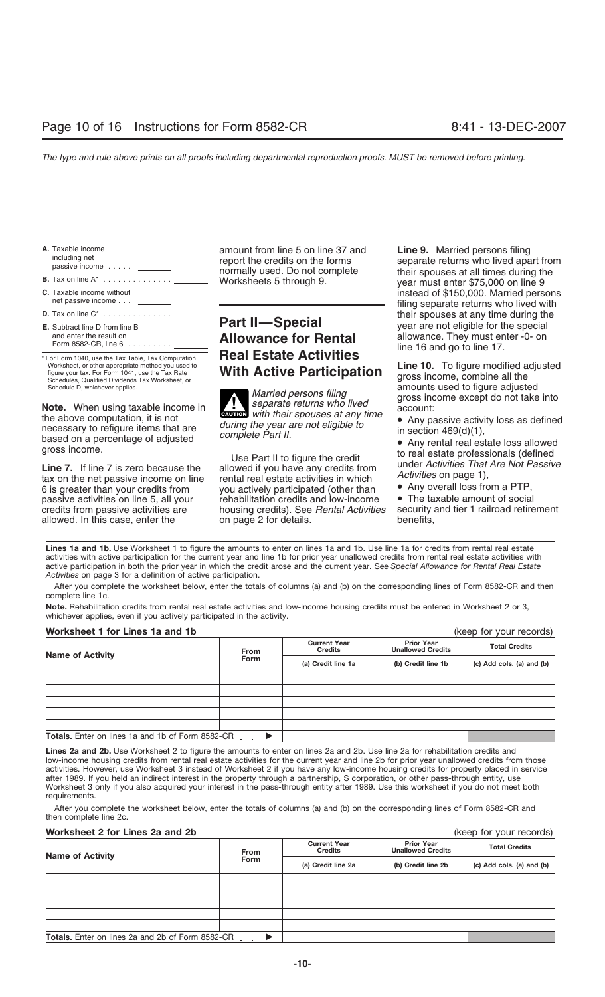| A. Taxable income<br>including net<br>passive income   |  |
|--------------------------------------------------------|--|
| <b>B.</b> Tax on line $A^*$                            |  |
| <b>C.</b> Taxable income without<br>net passive income |  |
| <b>D.</b> Tax on line $C^*$                            |  |

| <b>E.</b> Subtract line D from line B |  |
|---------------------------------------|--|
| and enter the result on               |  |
| Form 8582-CR, line 6<br>$\cdots$      |  |

tax on the net passive income on line rental real estate activities in which<br>6 is greater than your credits from you actively participated (other than  $\bullet$  Any overall loss from a PTP,<br>passive activities on line 5, all you passive activities on line 5, all your rehabilitation credits and low-income • The taxable amount of social<br>credits from passive activities are bousing credits). See *Rental Activities* security and tier 1 railroad retirem credits from passive activities are housing credits). See *Rental Activities* 

# **Allowance for Rental** allowance. They must enter -0- on Form 85 allowance. They must enter -0- on Form 8582-CR, line 16 and go to line 17. \* For Form 1040, use the Tax Table, Tax Computation **Real Estate Activities**

**ENTION** with their spouses at any time

allowed. In this case, enter the on page 2 for details. benefits,

**A.** Taxable income<br>
including net<br>
passive income<br> **B.** Tax on line A<sup>\*</sup><br> **E.** Tax on line A<sup>\*</sup><br> **E.** Tax on line A<sup>\*</sup><br> **E.** Tax on line A<sup>\*</sup> instead of \$150,000. Married persons<br>filing separate returns who lived with **Part II—Special** their spouses at any time during the **Part II—Special** year are not eligible for the special<br>allowance. They must enter -0- on

Worksheet, or other appropriate method you used to<br>
figure your tax. For Form 1041, use the Tax Rate<br>
Schedules, Qualified Dividends Tax Worksheet, or<br>
Schedule D, whichever applies.<br>
Schedule D, whichever applies.<br>
Schedu Schedule D, whichever applies.<br>
Married persons filing<br>
Married persons filing<br>
Married persons filing<br>
separate returns who lived<br>
with their spouses at any time<br>
account:<br>
Any possince except do not take into<br>
account:

the above computation, it is not<br>necessary to refigure items that are<br>based on a percentage of adjusted<br>gross income.<br>Line 7. If line 7 is zero because the<br>tax on the net passive income on line<br> $\begin{array}{ccc}\n & \text{if } 5 \text{ and } 64 \\
 &$ 

Lines 1a and 1b. Use Worksheet 1 to figure the amounts to enter on lines 1a and 1b. Use line 1a for credits from rental real estate activities with active participation for the current year and line 1b for prior year unallowed credits from rental real estate activities with active participation in both the prior year in which the credit arose and the current year. See *Special Allowance for Rental Real Estate Activities* on page 3 for a definition of active participation.

After you complete the worksheet below, enter the totals of columns (a) and (b) on the corresponding lines of Form 8582-CR and then complete line 1c.

**Note.** Rehabilitation credits from rental real estate activities and low-income housing credits must be entered in Worksheet 2 or 3, whichever applies, even if you actively participated in the activity.

### **Worksheet 1 for Lines 1a and 1b** (keep for your records)

| <b>THE BULGARY OF LITTLE STATES</b>                     |             |                                       |                                               | $(1000)$ 101 your 10001001 |
|---------------------------------------------------------|-------------|---------------------------------------|-----------------------------------------------|----------------------------|
| <b>Name of Activity</b>                                 | <b>From</b> | <b>Current Year</b><br><b>Credits</b> | <b>Prior Year</b><br><b>Unallowed Credits</b> | <b>Total Credits</b>       |
|                                                         | <b>Form</b> | (a) Credit line 1a                    | (b) Credit line 1b                            | (c) Add cols. (a) and (b)  |
|                                                         |             |                                       |                                               |                            |
|                                                         |             |                                       |                                               |                            |
|                                                         |             |                                       |                                               |                            |
|                                                         |             |                                       |                                               |                            |
|                                                         |             |                                       |                                               |                            |
| <b>Totals.</b> Enter on lines 1a and 1b of Form 8582-CR |             |                                       |                                               |                            |

Lines 2a and 2b. Use Worksheet 2 to figure the amounts to enter on lines 2a and 2b. Use line 2a for rehabilitation credits and low-income housing credits from rental real estate activities for the current year and line 2b for prior year unallowed credits from those activities. However, use Worksheet 3 instead of Worksheet 2 if you have any low-income housing credits for property placed in service after 1989. If you held an indirect interest in the property through a partnership, S corporation, or other pass-through entity, use Worksheet 3 only if you also acquired your interest in the pass-through entity after 1989. Use this worksheet if you do not meet both requirements.

After you complete the worksheet below, enter the totals of columns (a) and (b) on the corresponding lines of Form 8582-CR and then complete line 2c.

### **Worksheet 2 for Lines 2a and 2b**

|  |  |  |  | (keep for your records) |  |  |
|--|--|--|--|-------------------------|--|--|
|--|--|--|--|-------------------------|--|--|

| <b>Name of Activity</b>                                 | <b>From</b>                       | <b>Current Year</b><br><b>Credits</b> | <b>Prior Year</b><br><b>Unallowed Credits</b> | <b>Total Credits</b>      |
|---------------------------------------------------------|-----------------------------------|---------------------------------------|-----------------------------------------------|---------------------------|
|                                                         | <b>Form</b><br>(a) Credit line 2a |                                       | (b) Credit line 2b                            | (c) Add cols. (a) and (b) |
|                                                         |                                   |                                       |                                               |                           |
|                                                         |                                   |                                       |                                               |                           |
|                                                         |                                   |                                       |                                               |                           |
|                                                         |                                   |                                       |                                               |                           |
|                                                         |                                   |                                       |                                               |                           |
| <b>Totals.</b> Enter on lines 2a and 2b of Form 8582-CR |                                   |                                       |                                               |                           |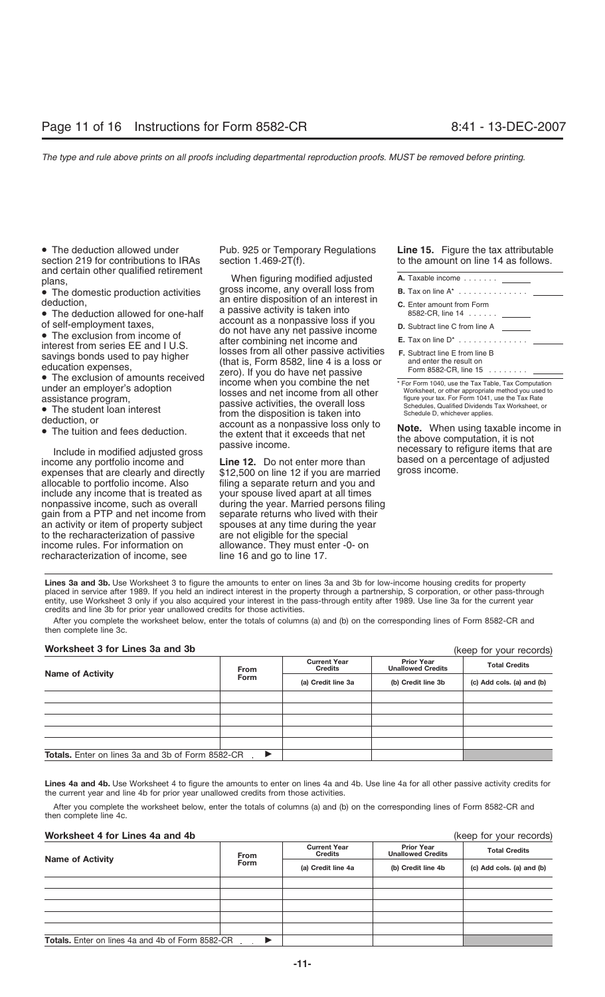section 219 for contributions to IRAs

and certain other qualified retirement<br>plans,<br>**A.** The demostic production activities aross income, any overall loss from

• The domestic production activities deduction.

- The deduction allowed for one-half a passive activity is taken into of self-employment taxes,
- 

income any portfolio income and Line 12. Do not enter more than based on a pe<br>expenses that are clearly and directly \$12,500 on line 12 if you are married gross income. allocable to portfolio income. Also filing a separate return and you and include any income that is treated as your spouse lived apart at all times nonpassive income, such as overall during the year. Married persons filing gain from a PTP and net income from separate returns who lived with their an activity or item of property subject spouses at any time during the year to the recharacterization of passive are not eligible for the special income rules. For information on allowance. They must enter -0- on recharacterization of income, see line 16 and go to line 17.

• The deduction allowed under Pub. 925 or Temporary Regulations **Line 15.** Figure the tax attributable

an entire disposition of an interest in<br>a passive activity is taken into For the exclusion from income of the exclusion from income of the exclusion from income of do not have any net passive income and<br>
interest from section income of the exclusion from income of do not have any net passive in

| A. Taxable income _______                          |  |
|----------------------------------------------------|--|
| <b>B.</b> Tax on line $A^*$                        |  |
| <b>C.</b> Enter amount from Form                   |  |
| <b>D.</b> Subtract line C from line A              |  |
| <b>E.</b> Tax on line $D^*$ $\qquad \qquad \qquad$ |  |
| $E$ Cubtract line $E$ from line $D$                |  |

**Lines 3a and 3b.** Use Worksheet 3 to figure the amounts to enter on lines 3a and 3b for low-income housing credits for property placed in service after 1989. If you held an indirect interest in the property through a partnership, S corporation, or other pass-through entity, use Worksheet 3 only if you also acquired your interest in the pass-through entity after 1989. Use line 3a for the current year credits and line 3b for prior year unallowed credits for those activities.

After you complete the worksheet below, enter the totals of columns (a) and (b) on the corresponding lines of Form 8582-CR and then complete line 3c.

### **Worksheet 3 for Lines 3a and 3b**

(keep for your records)

|                                                         | From                  | <b>Current Year</b><br><b>Credits</b> | <b>Prior Year</b><br><b>Unallowed Credits</b> | <b>Total Credits</b>      |
|---------------------------------------------------------|-----------------------|---------------------------------------|-----------------------------------------------|---------------------------|
| <b>Name of Activity</b>                                 | Form                  | (a) Credit line 3a                    | (b) Credit line 3b                            | (c) Add cols. (a) and (b) |
|                                                         |                       |                                       |                                               |                           |
|                                                         |                       |                                       |                                               |                           |
|                                                         |                       |                                       |                                               |                           |
|                                                         |                       |                                       |                                               |                           |
|                                                         |                       |                                       |                                               |                           |
| <b>Totals.</b> Enter on lines 3a and 3b of Form 8582-CR | $\blacktriangleright$ |                                       |                                               |                           |

**Lines 4a and 4b.** Use Worksheet 4 to figure the amounts to enter on lines 4a and 4b. Use line 4a for all other passive activity credits for the current year and line 4b for prior year unallowed credits from those activities.

After you complete the worksheet below, enter the totals of columns (a) and (b) on the corresponding lines of Form 8582-CR and then complete line 4c.

### **Worksheet 4 for Lines 4a and 4b** (keep for your records)

|                                                         | From        | <b>Current Year</b><br><b>Credits</b> | <b>Prior Year</b><br><b>Unallowed Credits</b> | <b>Total Credits</b>      |
|---------------------------------------------------------|-------------|---------------------------------------|-----------------------------------------------|---------------------------|
| <b>Name of Activity</b>                                 | <b>Form</b> | (a) Credit line 4a                    | (b) Credit line 4b                            | (c) Add cols. (a) and (b) |
|                                                         |             |                                       |                                               |                           |
|                                                         |             |                                       |                                               |                           |
|                                                         |             |                                       |                                               |                           |
|                                                         |             |                                       |                                               |                           |
|                                                         |             |                                       |                                               |                           |
| <b>Totals.</b> Enter on lines 4a and 4b of Form 8582-CR |             |                                       |                                               |                           |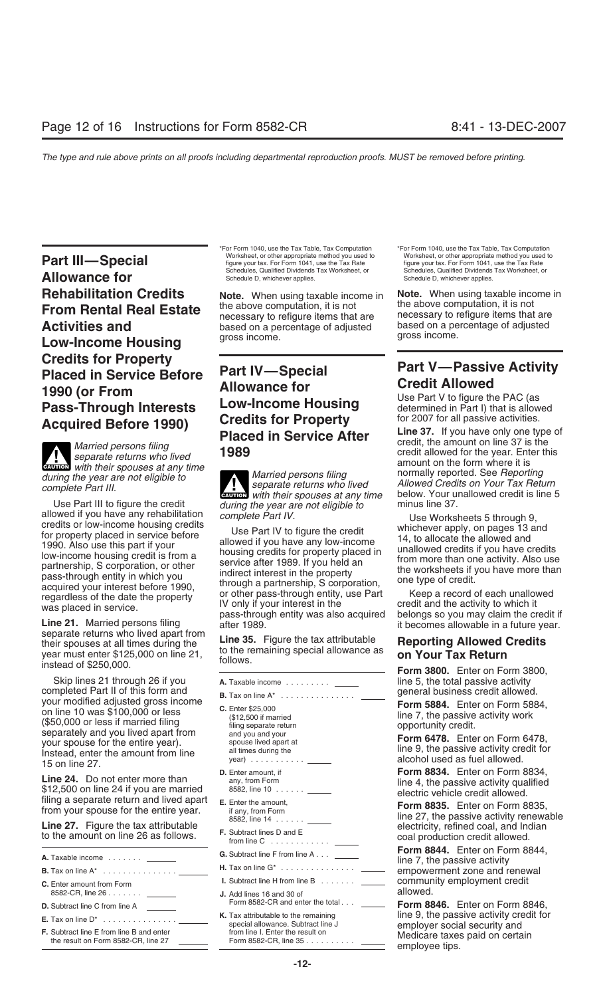Worksheet, or other appropriate method you used to worksheet, or other appropriate method you used to worksheet, or other appropriate method you used to worksheet, or other appropriate method you used to the Tax Rate figur **Allowance for Schedules**, Qualified Dividends Tax Worksheet, or Schedules, Qualified Dividends Tax Worksheet, or Schedules, Qualified Dividends Tax Worksheet, or **Rehabilitation Credits Note.** When using taxable income in **Note.** When using taxable income in **From Bental Beal Estate** the above computation, it is not the above computation, it is not **Low-Income Housing Credits for Property**<br> **Placed in Service Before**<br> **Part IV—Special**<br> **Part V—Passive Activity**<br> **Part V—Passive Activity**<br> **Credit Allowed ALLOWANCE TOR CREAT CLIGAT CONSTANT 1990 (or From Credit Allowsing Client Allowed**<br> **Pass-Through Interests Low-Income Housing** Use Part V to figure the PAC (as **Pass-Through Interests Low-Income Housing** determined in Part I) that is allow<br>**Acquired Before 1990) Credits for Property** for 2007 for all passive activities.

**ENTION** with their spouses at any time

beginate of their spouses at all times during the 21,<br>year must enter \$125,000 on line 21,<br>instead of \$250,000. The 21, follows.

Skip lines 21 through 26 if you **A.** Taxable income .......... \_\_\_\_\_ line 5, the total passive activity completed Part II of this form and **B.** Tax on line  $A^*$  general business credit allowed. completed Part II of this form and<br>
your modified adjusted gross income<br>
on line 10 was \$100,000 or less<br>
(\$50,000 or less if married filing<br>
separate return separately and you lived apart from<br>
your spouse for the entire all times during the line 9, the passive activity credit for Instead, enter the amount from line year) ........... alcohol used as fuel allowed. 15 on line 27.

**Line 24.** Do not enter more than  $$12,500$  on line 24 if you are married<br>  $$12,500$  on line 24 if you are married<br>  $$12,500$  on line 24 if you are married<br>  $$12,500$  on line 24 if you are married<br>  $$12,500$  on line 24 if

Line 27. Figure the tax attributable to the amount on line 26 as follows. F. Subtract lines D and E to the amount on line 26 as follows. F. Subtract lines D and E to the amount on line 26 as follows. F. Subtract lines C ..

| A. Taxable income                                                                      |
|----------------------------------------------------------------------------------------|
|                                                                                        |
| <b>C.</b> Enter amount from Form<br>8582-CR, line 26                                   |
| <b>D.</b> Subtract line C from line A                                                  |
| <b>E.</b> Tax on line $D^*$                                                            |
| <b>F.</b> Subtract line E from line B and enter<br>the result on Form 8582-CR, line 27 |

\*For Form 1040, use the Tax Table, Tax Computation \*For Form 1040, use the Tax Table, Tax Computation

**From Rental Real Estate** the above computation, it is not the above computation, it is not<br>**Activities and** hased on a percentage of adjusted based on a percentage of adjusted based on a percentage of adjusted based on a percentage of adjusted based on a pe

during the year are not eligible to<br>complete Part III. eparate returns who lived allowed Credits on Your Tax Return<br>with their spouses at any time below. Your unallowed credit is line 5 Use Part III to figure the credit *during the year are not eligible to* minus line 37.

allowed if you have any rehabilitation<br>
omplete Part IV. Use Worksheets 5 through 9,<br>
to recedits or low-income housing credits<br>
1990. Also use this part if your<br>
1990. Also use this part if your<br>
low-income housing credit

- 
- 
- 
- 
- 
- 
- 
- 
- 
- **J.** Add lines 16 and 30 of<br>Form 8582-CR and enter the total...
- 

**Acquired Before 1990)** Credits for Property for 2007 for all passive activities.<br>
Married persons filing **Placed in Service After** Line 37. If you have only one type of<br> *Married persons filing* 1989<br> *Married persons fil* 

8582, line 14 ...... line 27, the passive activity renewable

**Form 8844.** Enter on Form 8844, **G.** Subtract line F from line A . . . **A.** Taxable income ....... line 7, the passive activity **H.** Tax on line G\* ............... **B.** Tax on line A\* ............... empowerment zone and renewal **I.** Subtract line H from line B ....... \_\_\_\_\_\_\_\_ community employment credit<br>L. Add lines 16 and 30 of **allowed**.

**Form 8846.** Enter on Form 8846, **K.** Tax attributable to the remaining line 9, the passive activity credit for **E.** Tax on line D\* ............... special allowance. Subtract line J employer social security and **F.** Subtract line E from line B and enter from line I. Enter the result on Medicare taxes paid on certain the result on Form 8582-CR, line 27 Form 8582-CR, line 35 .......... employee tips.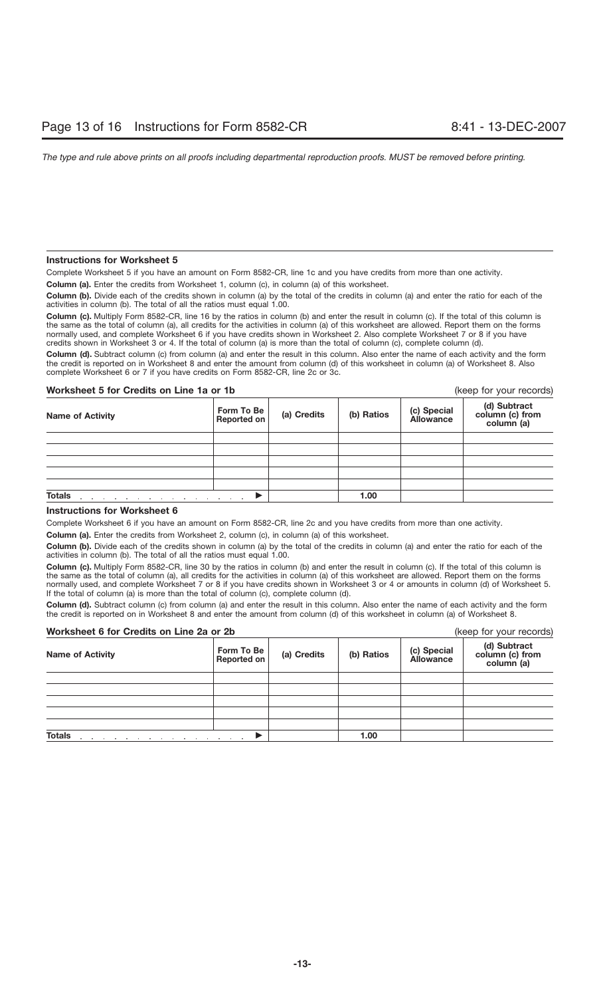### **Instructions for Worksheet 5**

Complete Worksheet 5 if you have an amount on Form 8582-CR, line 1c and you have credits from more than one activity.

**Column (a).** Enter the credits from Worksheet 1, column (c), in column (a) of this worksheet.

**Column (b).** Divide each of the credits shown in column (a) by the total of the credits in column (a) and enter the ratio for each of the activities in column (b). The total of all the ratios must equal 1.00.

**Column (c).** Multiply Form 8582-CR, line 16 by the ratios in column (b) and enter the result in column (c). If the total of this column is the same as the total of column (a), all credits for the activities in column (a) of this worksheet are allowed. Report them on the forms normally used, and complete Worksheet 6 if you have credits shown in Worksheet 2. Also complete Worksheet 7 or 8 if you have credits shown in Worksheet 3 or 4. If the total of column (a) is more than the total of column (c), complete column (d).

**Column (d).** Subtract column (c) from column (a) and enter the result in this column. Also enter the name of each activity and the form the credit is reported on in Worksheet 8 and enter the amount from column (d) of this worksheet in column (a) of Worksheet 8. Also complete Worksheet 6 or 7 if you have credits on Form 8582-CR, line 2c or 3c.

### **Worksheet 5 for Credits on Line 1a or 1b** (keep for your records)

| <b>Name of Activity</b>                                                                | Form To Be<br>Reported on | (a) Credits | (b) Ratios | (c) Special<br>Allowance | (d) Subtract<br>column (c) from<br>column (a) |
|----------------------------------------------------------------------------------------|---------------------------|-------------|------------|--------------------------|-----------------------------------------------|
|                                                                                        |                           |             |            |                          |                                               |
|                                                                                        |                           |             |            |                          |                                               |
|                                                                                        |                           |             |            |                          |                                               |
|                                                                                        |                           |             |            |                          |                                               |
|                                                                                        |                           |             |            |                          |                                               |
| <b>Totals</b><br>and a series of the control of the control of the control of the con- |                           |             | 1.00       |                          |                                               |

### **Instructions for Worksheet 6**

Complete Worksheet 6 if you have an amount on Form 8582-CR, line 2c and you have credits from more than one activity.

**Column (a).** Enter the credits from Worksheet 2, column (c), in column (a) of this worksheet.

**Column (b).** Divide each of the credits shown in column (a) by the total of the credits in column (a) and enter the ratio for each of the activities in column (b). The total of all the ratios must equal 1.00.

**Column (c).** Multiply Form 8582-CR, line 30 by the ratios in column (b) and enter the result in column (c). If the total of this column is the same as the total of column (a), all credits for the activities in column (a) of this worksheet are allowed. Report them on the forms normally used, and complete Worksheet 7 or 8 if you have credits shown in Worksheet 3 or 4 or amounts in column (d) of Worksheet 5. If the total of column (a) is more than the total of column (c), complete column (d).

**Column (d).** Subtract column (c) from column (a) and enter the result in this column. Also enter the name of each activity and the form the credit is reported on in Worksheet 8 and enter the amount from column (d) of this worksheet in column (a) of Worksheet 8.

| Worksheet 6 for Credits on Line 2a or 2b                                |                                  |             |            |                                 | (keep for your records)                       |
|-------------------------------------------------------------------------|----------------------------------|-------------|------------|---------------------------------|-----------------------------------------------|
| <b>Name of Activity</b>                                                 | Form To Be<br><b>Reported on</b> | (a) Credits | (b) Ratios | (c) Special<br><b>Allowance</b> | (d) Subtract<br>column (c) from<br>column (a) |
|                                                                         |                                  |             |            |                                 |                                               |
|                                                                         |                                  |             |            |                                 |                                               |
|                                                                         |                                  |             |            |                                 |                                               |
|                                                                         |                                  |             |            |                                 |                                               |
|                                                                         |                                  |             |            |                                 |                                               |
| <b>Totals</b><br>and a series of the control of the control of the con- |                                  |             | 1.00       |                                 |                                               |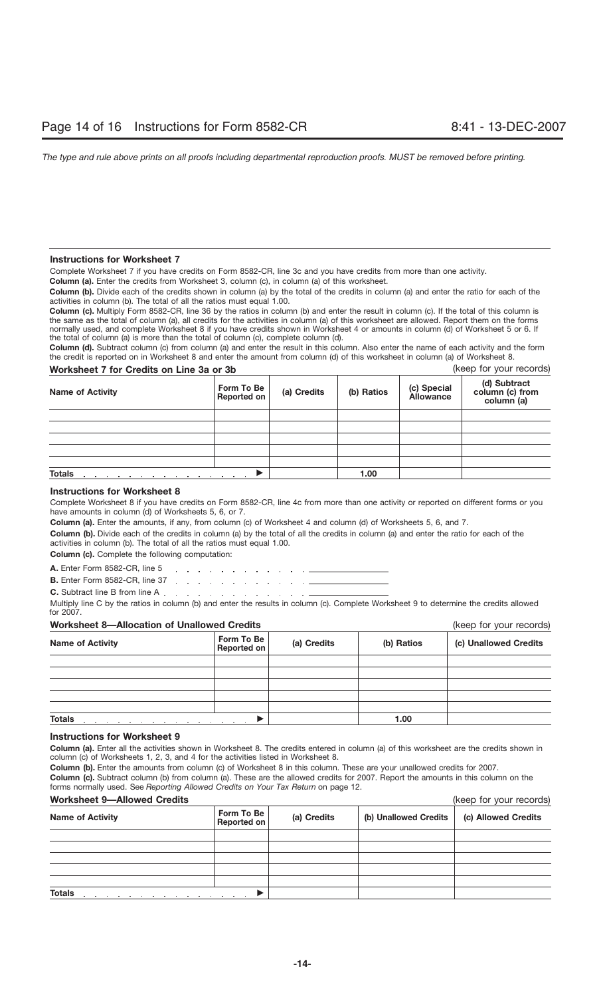### **Instructions for Worksheet 7**

Complete Worksheet 7 if you have credits on Form 8582-CR, line 3c and you have credits from more than one activity.

**Column (a).** Enter the credits from Worksheet 3, column (c), in column (a) of this worksheet.

**Column (b).** Divide each of the credits shown in column (a) by the total of the credits in column (a) and enter the ratio for each of the activities in column (b). The total of all the ratios must equal 1.00.

**Column (c).** Multiply Form 8582-CR, line 36 by the ratios in column (b) and enter the result in column (c). If the total of this column is the same as the total of column (a), all credits for the activities in column (a) of this worksheet are allowed. Report them on the forms normally used, and complete Worksheet 8 if you have credits shown in Worksheet 4 or amounts in column (d) of Worksheet 5 or 6. If the total of column (a) is more than the total of column (c), complete column (d).

**Column (d).** Subtract column (c) from column (a) and enter the result in this column. Also enter the name of each activity and the form the credit is reported on in Worksheet 8 and enter the amount from column (d) of this worksheet in column (a) of Worksheet 8.

| Worksheet 7 for Credits on Line 3a or 3b | (keep for your records)   |             |            |                                 |                                               |
|------------------------------------------|---------------------------|-------------|------------|---------------------------------|-----------------------------------------------|
| <b>Name of Activity</b>                  | Form To Be<br>Reported on | (a) Credits | (b) Ratios | (c) Special<br><b>Allowance</b> | (d) Subtract<br>column (c) from<br>column (a) |
|                                          |                           |             |            |                                 |                                               |
|                                          |                           |             |            |                                 |                                               |
|                                          |                           |             |            |                                 |                                               |
|                                          |                           |             |            |                                 |                                               |
|                                          |                           |             |            |                                 |                                               |
| <b>Totals</b>                            |                           |             | 1.00       |                                 |                                               |

### **Instructions for Worksheet 8**

Complete Worksheet 8 if you have credits on Form 8582-CR, line 4c from more than one activity or reported on different forms or you have amounts in column (d) of Worksheets 5, 6, or 7.

**Column (a).** Enter the amounts, if any, from column (c) of Worksheet 4 and column (d) of Worksheets 5, 6, and 7.

**Column (b).** Divide each of the credits in column (a) by the total of all the credits in column (a) and enter the ratio for each of the activities in column (b). The total of all the ratios must equal 1.00.

**Column (c).** Complete the following computation:

**A.** Enter Form 8582-CR, line 5 والمتعاط والمتعارف والمتعاط والمتعاط والمتعاط **B.** Enter Form 8582-CR, line 37 (a)  $\therefore$  (b) (b) (c) (c) (c) (c) (c) (c) (c)

**C.** Subtract line B from line A . . . . . . . . . . . . . . . . .

Multiply line C by the ratios in column (b) and enter the results in column (c). Complete Worksheet 9 to determine the credits allowed for 2007.

### **Worksheet 8—Allocation of Unallowed Credits** (keep for your records)

| <b>Name of Activity</b>                         | Form To Be<br>Reported on | (a) Credits | (b) Ratios | (c) Unallowed Credits |
|-------------------------------------------------|---------------------------|-------------|------------|-----------------------|
|                                                 |                           |             |            |                       |
|                                                 |                           |             |            |                       |
|                                                 |                           |             |            |                       |
|                                                 |                           |             |            |                       |
|                                                 |                           |             |            |                       |
| <b>Totals</b><br>.<br>.<br>$\sim$ $\sim$ $\sim$ |                           |             | 1.00       |                       |

### **Instructions for Worksheet 9**

**Column (a).** Enter all the activities shown in Worksheet 8. The credits entered in column (a) of this worksheet are the credits shown in column (c) of Worksheets 1, 2, 3, and 4 for the activities listed in Worksheet 8.

**Column (b).** Enter the amounts from column (c) of Worksheet 8 in this column. These are your unallowed credits for 2007. **Column (c).** Subtract column (b) from column (a). These are the allowed credits for 2007. Report the amounts in this column on the forms normally used. See *Reporting Allowed Credits on Your Tax Return* on page 12.

### **Worksheet 9—Allowed Credits** (keep for your records)

| <u>WULKSILEEL S—AIIOWED CIEUILS</u>                                                                                                                                                                                                             |                           |             |                       | IVEED IN YOUI IECOIDS) |
|-------------------------------------------------------------------------------------------------------------------------------------------------------------------------------------------------------------------------------------------------|---------------------------|-------------|-----------------------|------------------------|
| <b>Name of Activity</b>                                                                                                                                                                                                                         | Form To Be<br>Reported on | (a) Credits | (b) Unallowed Credits | (c) Allowed Credits    |
|                                                                                                                                                                                                                                                 |                           |             |                       |                        |
|                                                                                                                                                                                                                                                 |                           |             |                       |                        |
|                                                                                                                                                                                                                                                 |                           |             |                       |                        |
|                                                                                                                                                                                                                                                 |                           |             |                       |                        |
|                                                                                                                                                                                                                                                 |                           |             |                       |                        |
| <b>Totals</b><br>the contract of the contract of the contract of the contract of the contract of the contract of the contract of the contract of the contract of the contract of the contract of the contract of the contract of the contract o |                           |             |                       |                        |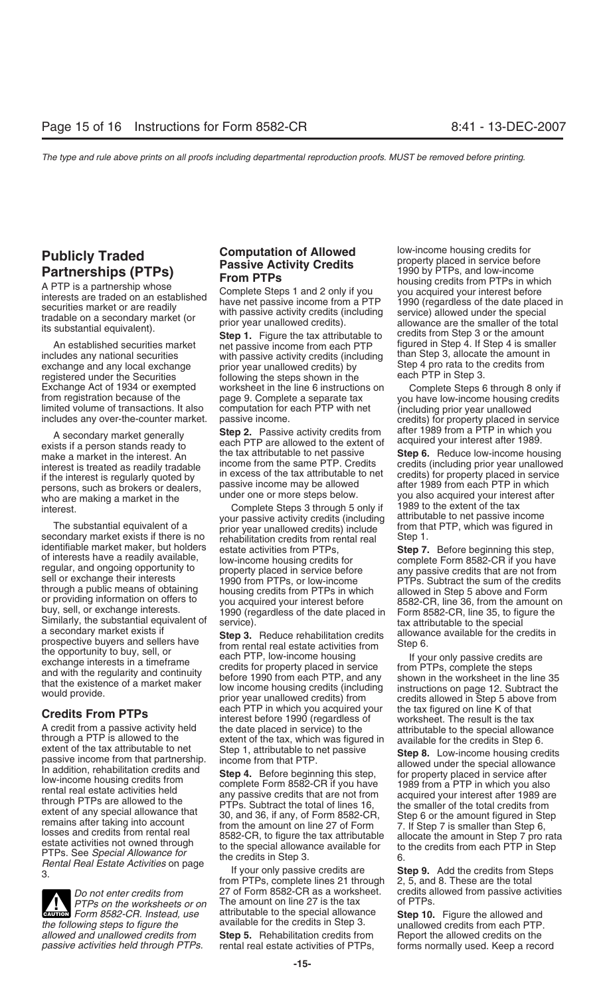persons, such as brokers or dealers, passive income may be anowed<br>who are making a market in the under one or more steps below. you also acquired your interest after<br>interest after complete Steps 3 through 5 only if 1989 t

secondary market exists if there is no step inabilitation credits from rental real<br>identifiable market maker, but holders sessate activities from PTPs through a public means of obtaining<br>or providing information on offers to<br>buy, sell, or exchange interests.<br>Similarly, the substantial equivalent of service).<br>Similarly, the substantial equivalent of service).<br>A secondary

A credit from a passive activity held<br>
the date placed in service) to the<br>
extent of the tax attributable to net<br>
extent of the tax attributable to net<br>
extent of the tax attributable to net<br>
extent of the tax attributabl

**Evaluat** Form 8582-CR. Instead, use attributable to the special allowance **Step 10.** Figure the allowed and the following steps to figure the  $\alpha$  available for the credits in Step 3.  $\alpha$  unallowed credits from each PTP. *allowed and unallowed credits from* **Step 5.** Rehabilitation credits from Report the allowed credits on the

An established securities market **Step 1.** Figure the tax attributable to credits from Step 3 or the amount<br>An established securities market net passive income from each PTP figured in Step 4. If Step 4 is smaller<br>includes with passive activity credits (including than Step 3, allocate the amount in<br>nrior vear unallowed credits) by Step 4 pro rata to the credits from exchange and any local exchange prior year unallowed credits) by Step 4 pro rata to the registered under the Securities following the steps shown in the each PTP in Step 3. registered under the Securities following the steps shown in the<br>Exchange Act of 1934 or exempted worksheet in the line 6 instructions on Exchange Act of 1934 or exempted worksheet in the line 6 instructions on Complete Steps 6 through 8 only if<br>from registration because of the page 9. Complete a separate tax you have low-income housing credits<br>limited volum

A secondary market generally **Step 2.** Passive activity credits from a fluer 1989 from a PTP in which you each PTP are allowed to the extent of acquired your interest after 1989. make a market in the interest. An the tax a the tax attributable to net passive **Step 6.** Reduce low-income housing<br>income from the same PTP. Credits credits (including prior year unallowed interest is treated as readily tradable<br>if the interest is regularly quoted by<br>persons, such as brokers or dealers,<br>persons, such as brokers or dealers,

interest.<br>Complete Steps 3 through 5 only if 1989 to the extent of the tax<br>vour passive activity credits (including attributable to net passive income your passive activity credits (including attributable to net passive income<br>prior year unallowed credits) include from that PTP, which was figured in The substantial equivalent of a prior year unallowed credits) include from that secondary market exists if there is no representation credits from rental real Step 1. identifiable market maker, but holders estate activities from PTPs,<br>of interests have a readily available,<br>regular, and ongoing opportunity to property placed in service before any passive credits that are not from<br>sell or

prospective buyers and sellers have<br>the opportunity to buy, sell, or<br>exchange interests in a timeframe<br>and with the regularity and continuity<br>that the existence of a market maker<br>would provide.<br>would provide.<br>that the exis each PTP in which you acquired your the tax figured on line K of that<br>interest before 1990 (regardless of worksheet. The result is the tax<br>A credit from a passive activity held the date placed in service) to the attributab

*PTPs on the worksheets or on* The amount on line 27 is the tax *Form 8582-CR Instead use* attributable to the special allowance **CAUTION** *FORM on the worksheets or on* The amount on line 27 is the tax of PTPs.<br> **EXUTION** Form 8582-CR. Instead, use attributable to the special allowance **Step 10.** Figure the allowed and

**Publicly Traded**<br> **Partnerships (PTPs)**<br>
A PTP is a partnership whose<br>
interests are traded on an established<br>
securities market or are readily<br>
tradable on a secondary market (or<br>
tradable on a secondary market (or<br>
its

limited volume of transactions. It also computation for each PTP with net (including prior year unallowed<br>includes any over-the-counter market. passive income. credits from a FTP in which you<br>A sessive result that service

*Do not enter credits from* 27 of Form 8582-CR as a worksheet. credits allowed from passive activities *PTPs* on the worksheets or on The amount on line 27 is the tax of PTPs.

rental real estate activities of PTPs, forms normally used. Keep a record